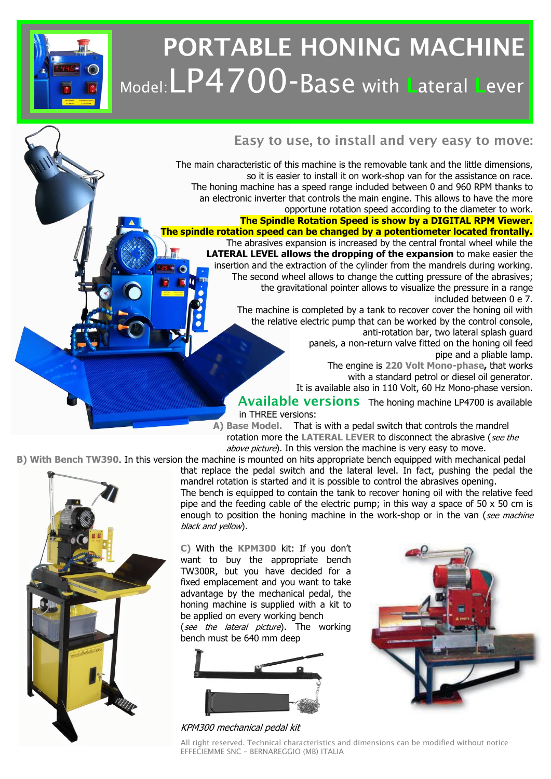## **PORTABLE HONING MACHINE** Model:LP4700-Base with **L**ateral **<sup>L</sup>**ever



## **Easy to use, to install and very easy to move:**

The main characteristic of this machine is the removable tank and the little dimensions, so it is easier to install it on work-shop van for the assistance on race. The honing machine has a speed range included between 0 and 960 RPM thanks to an electronic inverter that controls the main engine. This allows to have the more opportune rotation speed according to the diameter to work.

**The Spindle Rotation Speed is show by a DIGITAL RPM Viewer. The spindle rotation speed can be changed by a potentiometer located frontally.** The abrasives expansion is increased by the central frontal wheel while the **LATERAL LEVEL allows the dropping of the expansion** to make easier the insertion and the extraction of the cylinder from the mandrels during working. The second wheel allows to change the cutting pressure of the abrasives; the gravitational pointer allows to visualize the pressure in a range

included between 0 e 7.

The machine is completed by a tank to recover cover the honing oil with the relative electric pump that can be worked by the control console, anti-rotation bar, two lateral splash guard

panels, a non-return valve fitted on the honing oil feed pipe and a pliable lamp.

The engine is **220 Volt Mono-phase,** that works with a standard petrol or diesel oil generator.

It is available also in 110 Volt, 60 Hz Mono-phase version.

## **Available versions** The honing machine LP4700 is available

in THREE versions:

**A) Base Model.** That is with a pedal switch that controls the mandrel rotation more the LATERAL LEVER to disconnect the abrasive (see the above picture). In this version the machine is very easy to move.

**B) With Bench TW390**. In this version the machine is mounted on hits appropriate bench equipped with mechanical pedal



that replace the pedal switch and the lateral level. In fact, pushing the pedal the mandrel rotation is started and it is possible to control the abrasives opening. The bench is equipped to contain the tank to recover honing oil with the relative feed pipe and the feeding cable of the electric pump; in this way a space of  $50 \times 50$  cm is enough to position the honing machine in the work-shop or in the van (see machine black and yellow).

**C)** With the **KPM300** kit: If you don't want to buy the appropriate bench TW300R, but you have decided for a fixed emplacement and you want to take advantage by the mechanical pedal, the honing machine is supplied with a kit to be applied on every working bench

(see the lateral picture). The working bench must be 640 mm deep



KPM300 mechanical pedal kit



All right reserved. Technical characteristics and dimensions can be modified without notice EFFECIEMME SNC – BERNAREGGIO (MB) ITALIA